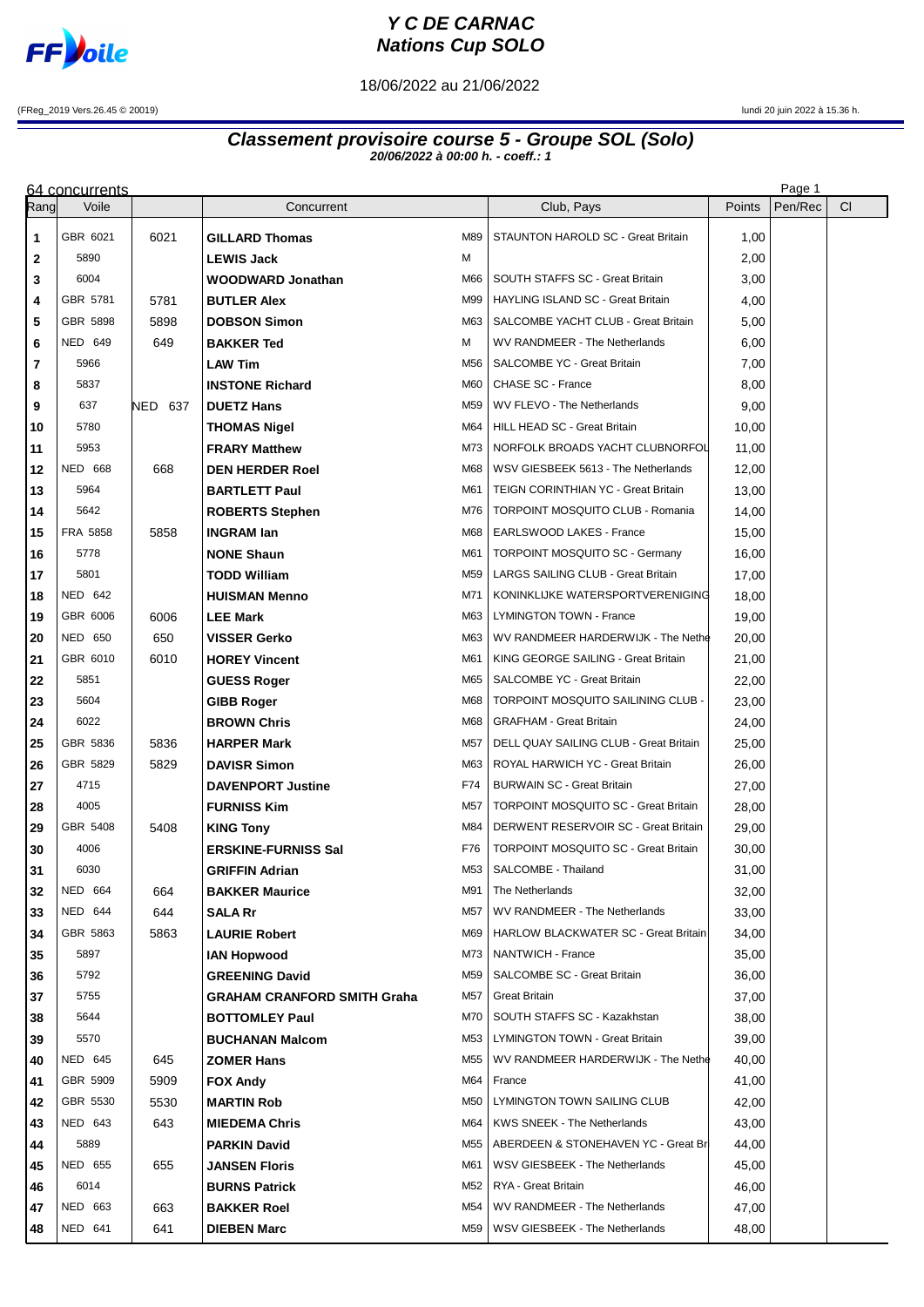

## **Y C DE CARNAC Nations Cup SOLO**

18/06/2022 au 21/06/2022

(FReg\_2019 Vers.26.45 © 20019) lundi 20 juin 2022 à 15.36 h.

## **Classement provisoire course 5 - Groupe SOL (Solo) 20/06/2022 à 00:00 h. - coeff.: 1**

|          | 64 concurrents |         |                                                             |            |                                              |                | Page 1  |           |
|----------|----------------|---------|-------------------------------------------------------------|------------|----------------------------------------------|----------------|---------|-----------|
| Rangl    | Voile          |         | Concurrent                                                  |            | Club, Pays                                   | Points         | Pen/Rec | <b>CI</b> |
| 1        | GBR 6021       | 6021    | <b>GILLARD Thomas</b>                                       | M89        | STAUNTON HAROLD SC - Great Britain           | 1,00           |         |           |
| 2        | 5890           |         | <b>LEWIS Jack</b>                                           | М          |                                              | 2,00           |         |           |
| 3        | 6004           |         | WOODWARD Jonathan                                           | M66        | SOUTH STAFFS SC - Great Britain              | 3,00           |         |           |
| 4        | GBR 5781       | 5781    | <b>BUTLER Alex</b>                                          | M99        | HAYLING ISLAND SC - Great Britain            | 4,00           |         |           |
| 5        | GBR 5898       | 5898    | <b>DOBSON Simon</b>                                         | M63        | SALCOMBE YACHT CLUB - Great Britain          | 5,00           |         |           |
| 6        | <b>NED 649</b> | 649     | <b>BAKKER Ted</b>                                           | м          | WV RANDMEER - The Netherlands                | 6,00           |         |           |
| 7        | 5966           |         | <b>LAW Tim</b>                                              | M56        | <b>SALCOMBE YC - Great Britain</b>           | 7,00           |         |           |
| 8        | 5837           |         | <b>INSTONE Richard</b>                                      | M60        | CHASE SC - France                            | 8,00           |         |           |
| 9        | 637            | NED 637 | <b>DUETZ Hans</b>                                           | M59        | WV FLEVO - The Netherlands                   | 9,00           |         |           |
| 10       | 5780           |         | <b>THOMAS Nigel</b>                                         | M64        | HILL HEAD SC - Great Britain                 | 10,00          |         |           |
| 11       | 5953           |         | <b>FRARY Matthew</b>                                        | M73        | NORFOLK BROADS YACHT CLUBNORFOL              | 11,00          |         |           |
| 12       | <b>NED 668</b> | 668     | <b>DEN HERDER Roel</b>                                      | M68        | WSV GIESBEEK 5613 - The Netherlands          | 12,00          |         |           |
| 13       | 5964           |         | <b>BARTLETT Paul</b>                                        | M61        | TEIGN CORINTHIAN YC - Great Britain          | 13,00          |         |           |
| 14       | 5642           |         | <b>ROBERTS Stephen</b>                                      | M76        | <b>TORPOINT MOSQUITO CLUB - Romania</b>      | 14,00          |         |           |
| 15       | FRA 5858       | 5858    | <b>INGRAM lan</b>                                           | M68        | EARLSWOOD LAKES - France                     | 15,00          |         |           |
| 16       | 5778           |         | <b>NONE Shaun</b>                                           | M61        | <b>TORPOINT MOSQUITO SC - Germany</b>        | 16,00          |         |           |
| 17       | 5801           |         | TODD William                                                | M59        | LARGS SAILING CLUB - Great Britain           | 17,00          |         |           |
| 18       | <b>NED 642</b> |         | <b>HUISMAN Menno</b>                                        | M71        | KONINKLIJKE WATERSPORTVERENIGING             | 18,00          |         |           |
| 19       | GBR 6006       | 6006    | <b>LEE Mark</b>                                             | M63        | LYMINGTON TOWN - France                      | 19,00          |         |           |
| 20       | <b>NED 650</b> | 650     | <b>VISSER Gerko</b>                                         | M63        | WV RANDMEER HARDERWIJK - The Nethe           | 20,00          |         |           |
| 21       | GBR 6010       | 6010    | <b>HOREY Vincent</b>                                        | M61        | KING GEORGE SAILING - Great Britain          | 21,00          |         |           |
| 22       | 5851           |         | <b>GUESS Roger</b>                                          | M65        | SALCOMBE YC - Great Britain                  | 22,00          |         |           |
| 23       | 5604           |         | <b>GIBB Roger</b>                                           | M68        | TORPOINT MOSQUITO SAILINING CLUB -           | 23,00          |         |           |
| 24       | 6022           |         | <b>BROWN Chris</b>                                          | M68        | <b>GRAFHAM - Great Britain</b>               | 24,00          |         |           |
| 25       | GBR 5836       | 5836    | <b>HARPER Mark</b>                                          | M57        | DELL QUAY SAILING CLUB - Great Britain       | 25,00          |         |           |
| 26       | GBR 5829       | 5829    | <b>DAVISR Simon</b>                                         | M63        | ROYAL HARWICH YC - Great Britain             | 26,00          |         |           |
| 27       | 4715           |         | <b>DAVENPORT Justine</b>                                    | F74        | <b>BURWAIN SC - Great Britain</b>            | 27,00          |         |           |
| 28       | 4005           |         | <b>FURNISS Kim</b>                                          | M57        | <b>TORPOINT MOSQUITO SC - Great Britain</b>  | 28,00          |         |           |
| 29       | GBR 5408       | 5408    | <b>KING Tony</b>                                            | M84        | DERWENT RESERVOIR SC - Great Britain         | 29,00          |         |           |
| 30       | 4006           |         | <b>ERSKINE-FURNISS Sal</b>                                  | F76        | <b>TORPOINT MOSQUITO SC - Great Britain</b>  | 30,00          |         |           |
| 31       | 6030           |         | <b>GRIFFIN Adrian</b>                                       | M53        | SALCOMBE - Thailand                          | 31,00          |         |           |
| 32       | <b>NED 664</b> | 664     | <b>BAKKER Maurice</b>                                       | M91        | The Netherlands                              | 32,00          |         |           |
| 33       | <b>NED 644</b> | 644     | <b>SALA Rr</b>                                              | M57        | WV RANDMEER - The Netherlands                | 33,00          |         |           |
| 34       | GBR 5863       | 5863    | <b>LAURIE Robert</b>                                        | M69        | <b>HARLOW BLACKWATER SC - Great Britain</b>  | 34,00          |         |           |
| 35       | 5897           |         | <b>IAN Hopwood</b>                                          | M73        | NANTWICH - France                            | 35,00          |         |           |
| 36<br>37 | 5792<br>5755   |         | <b>GREENING David</b><br><b>GRAHAM CRANFORD SMITH Graha</b> | M59<br>M57 | SALCOMBE SC - Great Britain<br>Great Britain | 36,00<br>37,00 |         |           |
|          | 5644           |         |                                                             | M70        | SOUTH STAFFS SC - Kazakhstan                 | 38,00          |         |           |
| 38<br>39 | 5570           |         | <b>BOTTOMLEY Paul</b><br><b>BUCHANAN Malcom</b>             | M53        | LYMINGTON TOWN - Great Britain               | 39,00          |         |           |
| 40       | <b>NED 645</b> | 645     | <b>ZOMER Hans</b>                                           | M55        | WV RANDMEER HARDERWIJK - The Nethe           | 40,00          |         |           |
| 41       | GBR 5909       | 5909    | <b>FOX Andy</b>                                             | M64        | France                                       | 41,00          |         |           |
| 42       | GBR 5530       | 5530    | <b>MARTIN Rob</b>                                           | M50        | LYMINGTON TOWN SAILING CLUB                  | 42,00          |         |           |
| 43       | NED 643        | 643     | <b>MIEDEMA Chris</b>                                        | M64        | KWS SNEEK - The Netherlands                  | 43,00          |         |           |
| 44       | 5889           |         | <b>PARKIN David</b>                                         | M55        | ABERDEEN & STONEHAVEN YC - Great Br          | 44,00          |         |           |
| 45       | NED 655        | 655     | <b>JANSEN Floris</b>                                        | M61        | WSV GIESBEEK - The Netherlands               | 45,00          |         |           |
| 46       | 6014           |         | <b>BURNS Patrick</b>                                        | M52        | RYA - Great Britain                          | 46,00          |         |           |
| 47       | NED 663        | 663     | <b>BAKKER Roel</b>                                          | M54        | WV RANDMEER - The Netherlands                | 47,00          |         |           |
| 48       | NED 641        | 641     | <b>DIEBEN Marc</b>                                          | M59        | WSV GIESBEEK - The Netherlands               | 48,00          |         |           |
|          |                |         |                                                             |            |                                              |                |         |           |